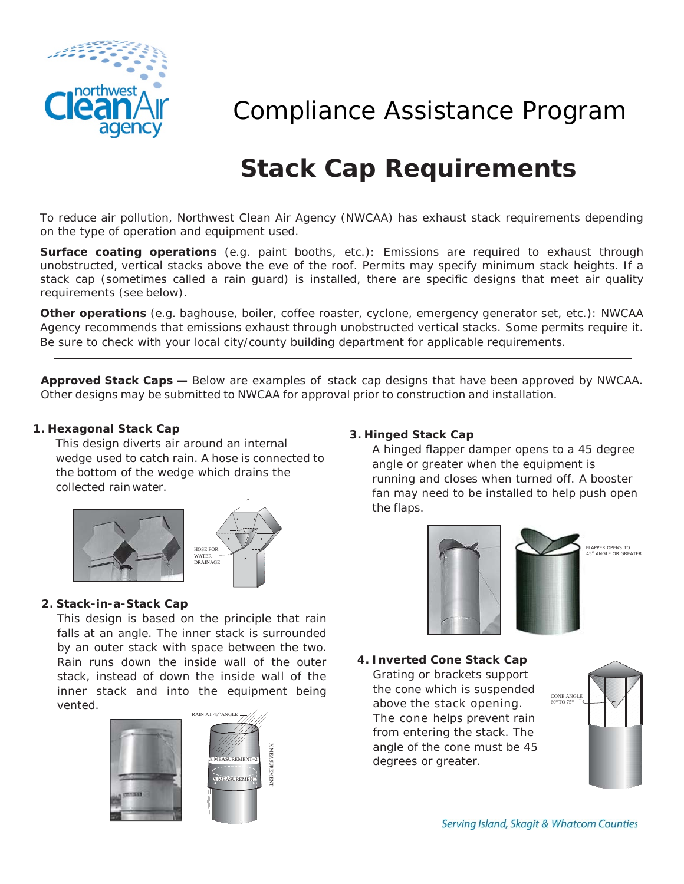

# Compliance Assistance Program

# **Stack Cap Requirements**

To reduce air pollution, Northwest Clean Air Agency (NWCAA) has exhaust stack requirements depending on the type of operation and equipment used.

**Surface coating operations** (e.g. paint booths, etc.): Emissions are required to exhaust through unobstructed, vertical stacks above the eve of the roof. Permits may specify minimum stack heights. If a stack cap (sometimes called a rain guard) is installed, there are specific designs that meet air quality requirements (see below).

**Other operations** (e.g. baghouse, boiler, coffee roaster, cyclone, emergency generator set, etc.): NWCAA Agency recommends that emissions exhaust through unobstructed vertical stacks. Some permits require it. Be sure to check with your local city/county building department for applicable requirements.

**Approved Stack Caps —** Below are examples of stack cap designs that have been approved by NWCAA. Other designs may be submitted to NWCAA for approval prior to construction and installation.

# **1. Hexagonal Stack Cap**

This design diverts air around an internal wedge used to catch rain. A hose is connected to the bottom of the wedge which drains the collected rain water.



### **2. Stack-in-a-Stack Cap**

This design is based on the principle that rain falls at an angle. The inner stack is surrounded by an outer stack with space between the two. Rain runs down the inside wall of the outer stack, instead of down the inside wall of the inner stack and into the equipment being vented.



# **3. Hinged Stack Cap**

A hinged flapper damper opens to a 45 degree angle or greater when the equipment is running and closes when turned off. A booster fan may need to be installed to help push open the flaps.



# **4. Inverted Cone Stack Cap**

Grating or brackets support the cone which is suspended above the stack opening. The cone helps prevent rain from entering the stack. The angle of the cone must be 45 degrees or greater.



Serving Island, Skagit & Whatcom Counties